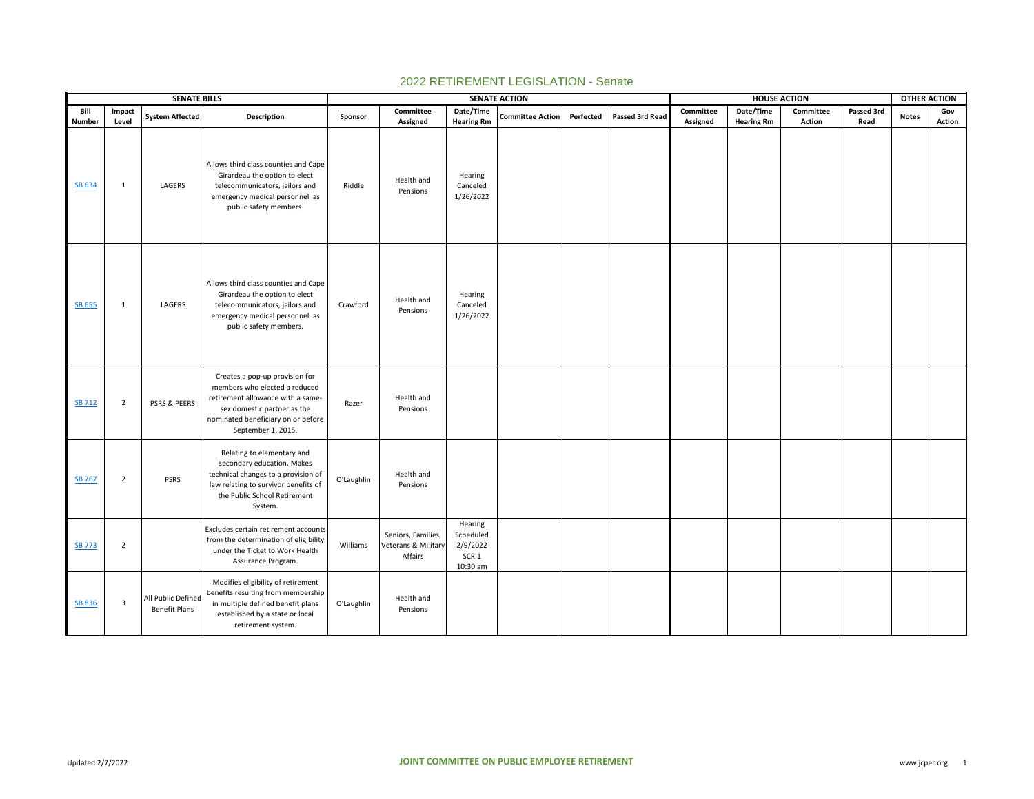|                |                 | <b>SENATE BILLS</b>                        |                                                                                                                                                                                                 |            |                                                      |                                                                  | <b>SENATE ACTION</b>    |           |                 |                       | <b>HOUSE ACTION</b>            |                            |                    | <b>OTHER ACTION</b> |               |  |
|----------------|-----------------|--------------------------------------------|-------------------------------------------------------------------------------------------------------------------------------------------------------------------------------------------------|------------|------------------------------------------------------|------------------------------------------------------------------|-------------------------|-----------|-----------------|-----------------------|--------------------------------|----------------------------|--------------------|---------------------|---------------|--|
| Bill<br>Number | Impact<br>Level | <b>System Affected</b>                     | Description                                                                                                                                                                                     | Sponsor    | Committee<br>Assigned                                | Date/Time<br><b>Hearing Rm</b>                                   | <b>Committee Action</b> | Perfected | Passed 3rd Read | Committee<br>Assigned | Date/Time<br><b>Hearing Rm</b> | Committee<br><b>Action</b> | Passed 3rd<br>Read | <b>Notes</b>        | Gov<br>Action |  |
| SB 634         | $\mathbf{1}$    | LAGERS                                     | Allows third class counties and Cape<br>Girardeau the option to elect<br>telecommunicators, jailors and<br>emergency medical personnel as<br>public safety members.                             | Riddle     | Health and<br>Pensions                               | Hearing<br>Canceled<br>1/26/2022                                 |                         |           |                 |                       |                                |                            |                    |                     |               |  |
| SB 655         | $\mathbf{1}$    | LAGERS                                     | Allows third class counties and Cape<br>Girardeau the option to elect<br>telecommunicators, jailors and<br>emergency medical personnel as<br>public safety members.                             | Crawford   | Health and<br>Pensions                               | Hearing<br>Canceled<br>1/26/2022                                 |                         |           |                 |                       |                                |                            |                    |                     |               |  |
| <b>SB 712</b>  | $\overline{2}$  | PSRS & PEERS                               | Creates a pop-up provision for<br>members who elected a reduced<br>retirement allowance with a same-<br>sex domestic partner as the<br>nominated beneficiary on or before<br>September 1, 2015. | Razer      | Health and<br>Pensions                               |                                                                  |                         |           |                 |                       |                                |                            |                    |                     |               |  |
| SB 767         | $\overline{2}$  | <b>PSRS</b>                                | Relating to elementary and<br>secondary education. Makes<br>technical changes to a provision of<br>law relating to survivor benefits of<br>the Public School Retirement<br>System.              | O'Laughlin | Health and<br>Pensions                               |                                                                  |                         |           |                 |                       |                                |                            |                    |                     |               |  |
| <b>SB 773</b>  | $\overline{2}$  |                                            | Excludes certain retirement accounts<br>from the determination of eligibility<br>under the Ticket to Work Health<br>Assurance Program.                                                          | Williams   | Seniors, Families,<br>Veterans & Military<br>Affairs | Hearing<br>Scheduled<br>2/9/2022<br>SCR <sub>1</sub><br>10:30 am |                         |           |                 |                       |                                |                            |                    |                     |               |  |
| <b>SB 836</b>  | 3               | All Public Defined<br><b>Benefit Plans</b> | Modifies eligibility of retirement<br>benefits resulting from membership<br>in multiple defined benefit plans<br>established by a state or local<br>retirement system.                          | O'Laughlin | Health and<br>Pensions                               |                                                                  |                         |           |                 |                       |                                |                            |                    |                     |               |  |

## 2022 RETIREMENT LEGISLATION - Senate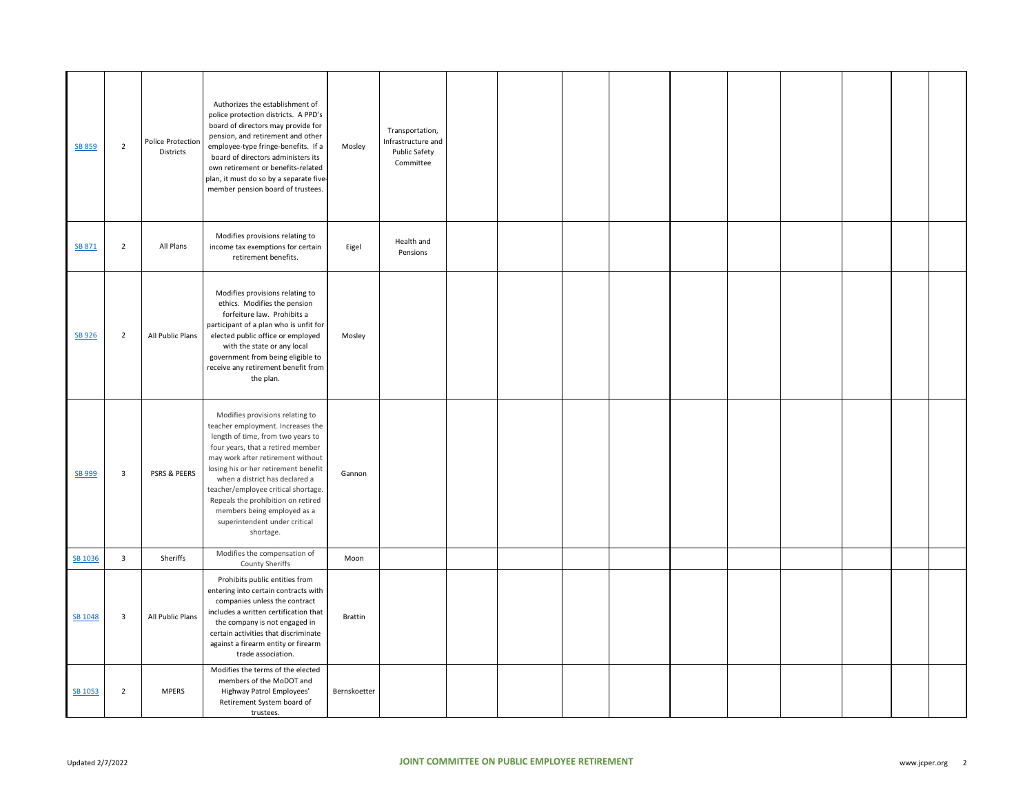| SB 859  | $\overline{2}$          | <b>Police Protection</b><br>Districts | Authorizes the establishment of<br>police protection districts. A PPD's<br>board of directors may provide for<br>pension, and retirement and other<br>employee-type fringe-benefits. If a<br>board of directors administers its<br>own retirement or benefits-related<br>plan, it must do so by a separate five-<br>member pension board of trustees.                                                                   | Mosley         | Transportation,<br>Infrastructure and<br><b>Public Safety</b><br>Committee |  |  |  |  |  |
|---------|-------------------------|---------------------------------------|-------------------------------------------------------------------------------------------------------------------------------------------------------------------------------------------------------------------------------------------------------------------------------------------------------------------------------------------------------------------------------------------------------------------------|----------------|----------------------------------------------------------------------------|--|--|--|--|--|
| SB 871  | $\overline{2}$          | All Plans                             | Modifies provisions relating to<br>income tax exemptions for certain<br>retirement benefits.                                                                                                                                                                                                                                                                                                                            | Eigel          | Health and<br>Pensions                                                     |  |  |  |  |  |
| SB 926  | $\overline{2}$          | All Public Plans                      | Modifies provisions relating to<br>ethics. Modifies the pension<br>forfeiture law. Prohibits a<br>participant of a plan who is unfit for<br>elected public office or employed<br>with the state or any local<br>government from being eligible to<br>receive any retirement benefit from<br>the plan.                                                                                                                   | Mosley         |                                                                            |  |  |  |  |  |
| SB 999  | $\overline{\mathbf{3}}$ | PSRS & PEERS                          | Modifies provisions relating to<br>teacher employment. Increases the<br>length of time, from two years to<br>four years, that a retired member<br>may work after retirement without<br>losing his or her retirement benefit<br>when a district has declared a<br>teacher/employee critical shortage.<br>Repeals the prohibition on retired<br>members being employed as a<br>superintendent under critical<br>shortage. | Gannon         |                                                                            |  |  |  |  |  |
| SB 1036 | $\overline{3}$          | Sheriffs                              | Modifies the compensation of<br>County Sheriffs                                                                                                                                                                                                                                                                                                                                                                         | Moon           |                                                                            |  |  |  |  |  |
| SB 1048 | $\overline{\mathbf{3}}$ | All Public Plans                      | Prohibits public entities from<br>entering into certain contracts with<br>companies unless the contract<br>includes a written certification that<br>the company is not engaged in<br>certain activities that discriminate<br>against a firearm entity or firearm<br>trade association.                                                                                                                                  | <b>Brattin</b> |                                                                            |  |  |  |  |  |
| SB 1053 | $\overline{2}$          | <b>MPERS</b>                          | Modifies the terms of the elected<br>members of the MoDOT and<br>Highway Patrol Employees'<br>Retirement System board of<br>trustees.                                                                                                                                                                                                                                                                                   | Bernskoetter   |                                                                            |  |  |  |  |  |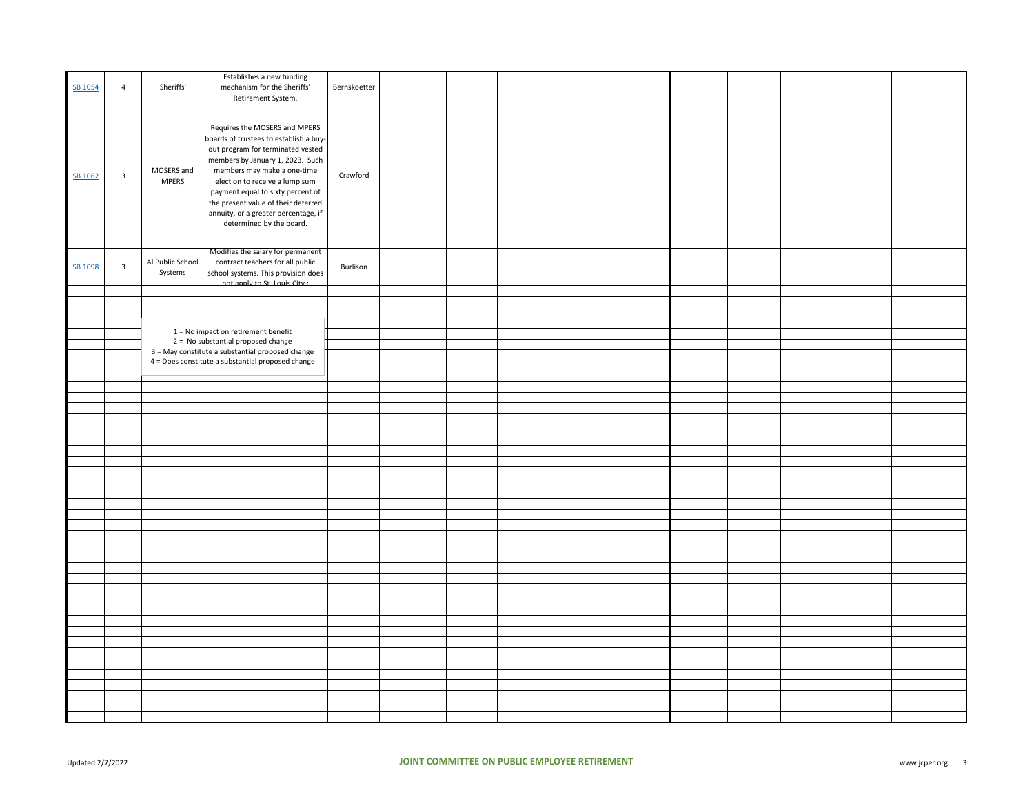| SB 1054 | $\overline{4}$          | Sheriffs'                   | Establishes a new funding<br>mechanism for the Sheriffs'<br>Retirement System.                                                                                                                                                                                                                                                                                    | Bernskoetter |  |  |  |  |  |  |
|---------|-------------------------|-----------------------------|-------------------------------------------------------------------------------------------------------------------------------------------------------------------------------------------------------------------------------------------------------------------------------------------------------------------------------------------------------------------|--------------|--|--|--|--|--|--|
| SB 1062 | $\overline{\mathbf{3}}$ | MOSERS and<br><b>MPERS</b>  | Requires the MOSERS and MPERS<br>boards of trustees to establish a buy-<br>out program for terminated vested<br>members by January 1, 2023. Such<br>members may make a one-time<br>election to receive a lump sum<br>payment equal to sixty percent of<br>the present value of their deferred<br>annuity, or a greater percentage, if<br>determined by the board. | Crawford     |  |  |  |  |  |  |
| SB 1098 | $\overline{\mathbf{3}}$ | Al Public School<br>Systems | Modifies the salary for permanent<br>contract teachers for all public<br>school systems. This provision does<br>not annly to St. Louis City                                                                                                                                                                                                                       | Burlison     |  |  |  |  |  |  |
|         |                         |                             |                                                                                                                                                                                                                                                                                                                                                                   |              |  |  |  |  |  |  |
|         |                         |                             |                                                                                                                                                                                                                                                                                                                                                                   |              |  |  |  |  |  |  |
|         |                         |                             |                                                                                                                                                                                                                                                                                                                                                                   |              |  |  |  |  |  |  |
|         |                         |                             | 1 = No impact on retirement benefit                                                                                                                                                                                                                                                                                                                               |              |  |  |  |  |  |  |
|         |                         |                             | 2 = No substantial proposed change<br>3 = May constitute a substantial proposed change                                                                                                                                                                                                                                                                            |              |  |  |  |  |  |  |
|         |                         |                             | 4 = Does constitute a substantial proposed change                                                                                                                                                                                                                                                                                                                 |              |  |  |  |  |  |  |
|         |                         |                             |                                                                                                                                                                                                                                                                                                                                                                   |              |  |  |  |  |  |  |
|         |                         |                             |                                                                                                                                                                                                                                                                                                                                                                   |              |  |  |  |  |  |  |
|         |                         |                             |                                                                                                                                                                                                                                                                                                                                                                   |              |  |  |  |  |  |  |
|         |                         |                             |                                                                                                                                                                                                                                                                                                                                                                   |              |  |  |  |  |  |  |
|         |                         |                             |                                                                                                                                                                                                                                                                                                                                                                   |              |  |  |  |  |  |  |
|         |                         |                             |                                                                                                                                                                                                                                                                                                                                                                   |              |  |  |  |  |  |  |
|         |                         |                             |                                                                                                                                                                                                                                                                                                                                                                   |              |  |  |  |  |  |  |
|         |                         |                             |                                                                                                                                                                                                                                                                                                                                                                   |              |  |  |  |  |  |  |
|         |                         |                             |                                                                                                                                                                                                                                                                                                                                                                   |              |  |  |  |  |  |  |
|         |                         |                             |                                                                                                                                                                                                                                                                                                                                                                   |              |  |  |  |  |  |  |
|         |                         |                             |                                                                                                                                                                                                                                                                                                                                                                   |              |  |  |  |  |  |  |
|         |                         |                             |                                                                                                                                                                                                                                                                                                                                                                   |              |  |  |  |  |  |  |
|         |                         |                             |                                                                                                                                                                                                                                                                                                                                                                   |              |  |  |  |  |  |  |
|         |                         |                             |                                                                                                                                                                                                                                                                                                                                                                   |              |  |  |  |  |  |  |
|         |                         |                             |                                                                                                                                                                                                                                                                                                                                                                   |              |  |  |  |  |  |  |
|         |                         |                             |                                                                                                                                                                                                                                                                                                                                                                   |              |  |  |  |  |  |  |
|         |                         |                             |                                                                                                                                                                                                                                                                                                                                                                   |              |  |  |  |  |  |  |
|         |                         |                             |                                                                                                                                                                                                                                                                                                                                                                   |              |  |  |  |  |  |  |
|         |                         |                             |                                                                                                                                                                                                                                                                                                                                                                   |              |  |  |  |  |  |  |
|         |                         |                             |                                                                                                                                                                                                                                                                                                                                                                   |              |  |  |  |  |  |  |
|         |                         |                             |                                                                                                                                                                                                                                                                                                                                                                   |              |  |  |  |  |  |  |
|         |                         |                             |                                                                                                                                                                                                                                                                                                                                                                   |              |  |  |  |  |  |  |
|         |                         |                             |                                                                                                                                                                                                                                                                                                                                                                   |              |  |  |  |  |  |  |
|         |                         |                             |                                                                                                                                                                                                                                                                                                                                                                   |              |  |  |  |  |  |  |
|         |                         |                             |                                                                                                                                                                                                                                                                                                                                                                   |              |  |  |  |  |  |  |
|         |                         |                             |                                                                                                                                                                                                                                                                                                                                                                   |              |  |  |  |  |  |  |
|         |                         |                             |                                                                                                                                                                                                                                                                                                                                                                   |              |  |  |  |  |  |  |
|         |                         |                             |                                                                                                                                                                                                                                                                                                                                                                   |              |  |  |  |  |  |  |
|         |                         |                             |                                                                                                                                                                                                                                                                                                                                                                   |              |  |  |  |  |  |  |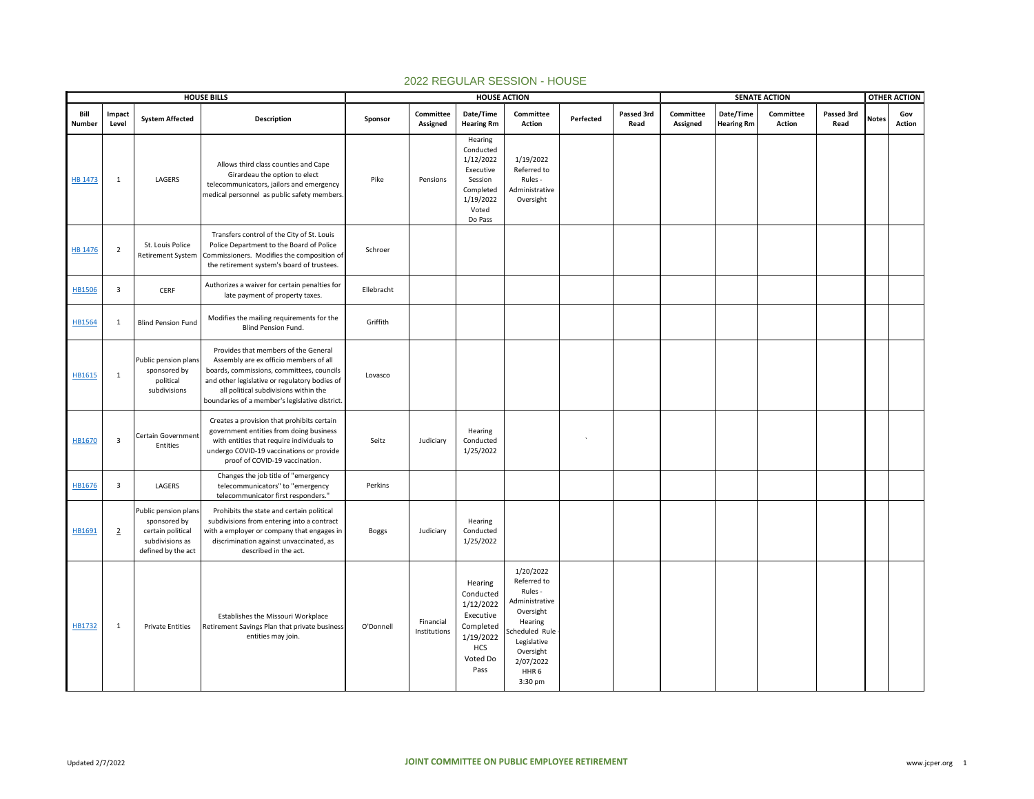|                |                         |                                                                                                    | <b>HOUSE BILLS</b>                                                                                                                                                                                                                                                      |              |                           | <b>HOUSE ACTION</b>                                                                                        |                                                                                                                                                                        |           |                    | <b>SENATE ACTION</b>  |                                |                     |                    |              | <b>OTHER ACTION</b> |
|----------------|-------------------------|----------------------------------------------------------------------------------------------------|-------------------------------------------------------------------------------------------------------------------------------------------------------------------------------------------------------------------------------------------------------------------------|--------------|---------------------------|------------------------------------------------------------------------------------------------------------|------------------------------------------------------------------------------------------------------------------------------------------------------------------------|-----------|--------------------|-----------------------|--------------------------------|---------------------|--------------------|--------------|---------------------|
| Bill<br>Number | Impact<br>Level         | <b>System Affected</b>                                                                             | Description                                                                                                                                                                                                                                                             | Sponsor      | Committee<br>Assigned     | Date/Time<br><b>Hearing Rm</b>                                                                             | Committee<br>Action                                                                                                                                                    | Perfected | Passed 3rd<br>Read | Committee<br>Assigned | Date/Time<br><b>Hearing Rm</b> | Committee<br>Action | Passed 3rd<br>Read | <b>Notes</b> | Gov<br>Action       |
| <b>HB 1473</b> | 1                       | LAGERS                                                                                             | Allows third class counties and Cape<br>Girardeau the option to elect<br>telecommunicators, jailors and emergency<br>medical personnel as public safety members.                                                                                                        | Pike         | Pensions                  | Hearing<br>Conducted<br>1/12/2022<br>Executive<br>Session<br>Completed<br>1/19/2022<br>Voted<br>Do Pass    | 1/19/2022<br>Referred to<br>Rules -<br>Administrative<br>Oversight                                                                                                     |           |                    |                       |                                |                     |                    |              |                     |
| HB 1476        | $\overline{2}$          | St. Louis Police<br><b>Retirement System</b>                                                       | Transfers control of the City of St. Louis<br>Police Department to the Board of Police<br>Commissioners. Modifies the composition of<br>the retirement system's board of trustees.                                                                                      | Schroer      |                           |                                                                                                            |                                                                                                                                                                        |           |                    |                       |                                |                     |                    |              |                     |
| <b>HB1506</b>  | $\overline{\mathbf{3}}$ | <b>CERF</b>                                                                                        | Authorizes a waiver for certain penalties for<br>late payment of property taxes.                                                                                                                                                                                        | Ellebracht   |                           |                                                                                                            |                                                                                                                                                                        |           |                    |                       |                                |                     |                    |              |                     |
| <b>HB1564</b>  | 1                       | <b>Blind Pension Fund</b>                                                                          | Modifies the mailing requirements for the<br>Blind Pension Fund.                                                                                                                                                                                                        | Griffith     |                           |                                                                                                            |                                                                                                                                                                        |           |                    |                       |                                |                     |                    |              |                     |
| HB1615         | $\mathbf{1}$            | Public pension plans<br>sponsored by<br>political<br>subdivisions                                  | Provides that members of the General<br>Assembly are ex officio members of all<br>boards, commissions, committees, councils<br>and other legislative or regulatory bodies of<br>all political subdivisions within the<br>boundaries of a member's legislative district. | Lovasco      |                           |                                                                                                            |                                                                                                                                                                        |           |                    |                       |                                |                     |                    |              |                     |
| HB1670         | $\overline{\mathbf{3}}$ | Certain Government<br>Entities                                                                     | Creates a provision that prohibits certain<br>government entities from doing business<br>with entities that require individuals to<br>undergo COVID-19 vaccinations or provide<br>proof of COVID-19 vaccination.                                                        | Seitz        | Judiciary                 | Hearing<br>Conducted<br>1/25/2022                                                                          |                                                                                                                                                                        |           |                    |                       |                                |                     |                    |              |                     |
| HB1676         | $\overline{\mathbf{3}}$ | LAGERS                                                                                             | Changes the job title of "emergency<br>telecommunicators" to "emergency<br>telecommunicator first responders."                                                                                                                                                          | Perkins      |                           |                                                                                                            |                                                                                                                                                                        |           |                    |                       |                                |                     |                    |              |                     |
| HB1691         | $\overline{2}$          | Public pension plans<br>sponsored by<br>certain political<br>subdivisions as<br>defined by the act | Prohibits the state and certain political<br>subdivisions from entering into a contract<br>with a employer or company that engages in<br>discrimination against unvaccinated, as<br>described in the act.                                                               | <b>Boggs</b> | Judiciary                 | Hearing<br>Conducted<br>1/25/2022                                                                          |                                                                                                                                                                        |           |                    |                       |                                |                     |                    |              |                     |
| HB1732         | 1                       | <b>Private Entities</b>                                                                            | Establishes the Missouri Workplace<br>Retirement Savings Plan that private business<br>entities may join.                                                                                                                                                               | O'Donnell    | Financial<br>Institutions | Hearing<br>Conducted<br>1/12/2022<br>Executive<br>Completed<br>1/19/2022<br><b>HCS</b><br>Voted Do<br>Pass | 1/20/2022<br>Referred to<br>Rules -<br>Administrative<br>Oversight<br>Hearing<br>cheduled Rule<br>Legislative<br>Oversight<br>2/07/2022<br>HHR <sub>6</sub><br>3:30 pm |           |                    |                       |                                |                     |                    |              |                     |

## 2022 REGULAR SESSION - HOUSE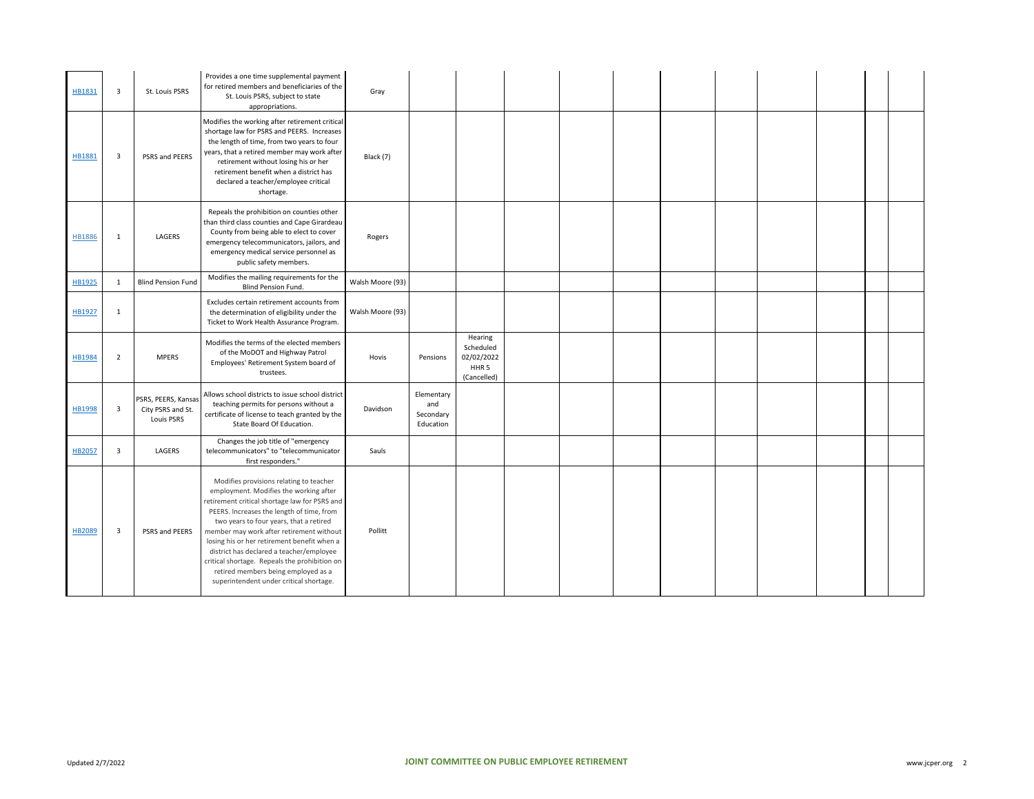| HB1831        | $\overline{\mathbf{3}}$ | St. Louis PSRS                                         | Provides a one time supplemental payment<br>for retired members and beneficiaries of the<br>St. Louis PSRS, subject to state<br>appropriations.                                                                                                                                                                                                                                                                                                                                                      | Gray             |                                             |                                                                       |  |  |  |  |  |
|---------------|-------------------------|--------------------------------------------------------|------------------------------------------------------------------------------------------------------------------------------------------------------------------------------------------------------------------------------------------------------------------------------------------------------------------------------------------------------------------------------------------------------------------------------------------------------------------------------------------------------|------------------|---------------------------------------------|-----------------------------------------------------------------------|--|--|--|--|--|
| HB1881        | $\overline{\mathbf{3}}$ | PSRS and PEERS                                         | Modifies the working after retirement critical<br>shortage law for PSRS and PEERS. Increases<br>the length of time, from two years to four<br>years, that a retired member may work after<br>retirement without losing his or her<br>retirement benefit when a district has<br>declared a teacher/employee critical<br>shortage.                                                                                                                                                                     | Black (7)        |                                             |                                                                       |  |  |  |  |  |
| HB1886        | 1                       | LAGERS                                                 | Repeals the prohibition on counties other<br>than third class counties and Cape Girardeau<br>County from being able to elect to cover<br>emergency telecommunicators, jailors, and<br>emergency medical service personnel as<br>public safety members.                                                                                                                                                                                                                                               | Rogers           |                                             |                                                                       |  |  |  |  |  |
| HB1925        | $\mathbf{1}$            | <b>Blind Pension Fund</b>                              | Modifies the mailing requirements for the<br><b>Blind Pension Fund.</b>                                                                                                                                                                                                                                                                                                                                                                                                                              | Walsh Moore (93) |                                             |                                                                       |  |  |  |  |  |
| HB1927        | 1                       |                                                        | Excludes certain retirement accounts from<br>the determination of eligibility under the<br>Ticket to Work Health Assurance Program.                                                                                                                                                                                                                                                                                                                                                                  | Walsh Moore (93) |                                             |                                                                       |  |  |  |  |  |
| HB1984        | $\overline{2}$          | <b>MPERS</b>                                           | Modifies the terms of the elected members<br>of the MoDOT and Highway Patrol<br>Employees' Retirement System board of<br>trustees.                                                                                                                                                                                                                                                                                                                                                                   | Hovis            | Pensions                                    | Hearing<br>Scheduled<br>02/02/2022<br>HHR <sub>5</sub><br>(Cancelled) |  |  |  |  |  |
| <b>HB1998</b> | $\overline{\mathbf{3}}$ | PSRS, PEERS, Kansas<br>City PSRS and St.<br>Louis PSRS | Allows school districts to issue school district<br>teaching permits for persons without a<br>certificate of license to teach granted by the<br>State Board Of Education.                                                                                                                                                                                                                                                                                                                            | Davidson         | Elementary<br>and<br>Secondary<br>Education |                                                                       |  |  |  |  |  |
| HB2057        | $\overline{\mathbf{3}}$ | LAGERS                                                 | Changes the job title of "emergency<br>telecommunicators" to "telecommunicator<br>first responders."                                                                                                                                                                                                                                                                                                                                                                                                 | Sauls            |                                             |                                                                       |  |  |  |  |  |
| HB2089        | $\overline{\mathbf{3}}$ | PSRS and PEERS                                         | Modifies provisions relating to teacher<br>employment. Modifies the working after<br>retirement critical shortage law for PSRS and<br>PEERS. Increases the length of time, from<br>two years to four years, that a retired<br>member may work after retirement without<br>losing his or her retirement benefit when a<br>district has declared a teacher/employee<br>critical shortage. Repeals the prohibition on<br>retired members being employed as a<br>superintendent under critical shortage. | Pollitt          |                                             |                                                                       |  |  |  |  |  |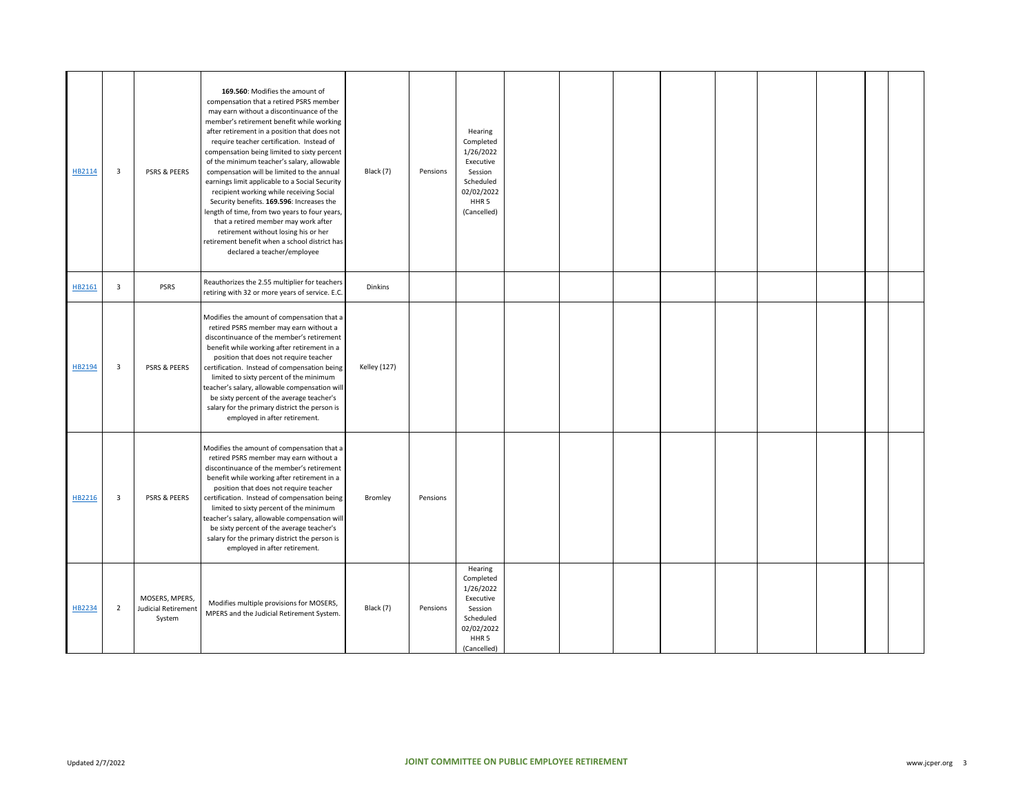| HB2114 | 3              | PSRS & PEERS                                    | 169.560: Modifies the amount of<br>compensation that a retired PSRS member<br>may earn without a discontinuance of the<br>member's retirement benefit while working<br>after retirement in a position that does not<br>require teacher certification. Instead of<br>compensation being limited to sixty percent<br>of the minimum teacher's salary, allowable<br>compensation will be limited to the annual<br>earnings limit applicable to a Social Security<br>recipient working while receiving Social<br>Security benefits. 169.596: Increases the<br>length of time, from two years to four years,<br>that a retired member may work after<br>retirement without losing his or her<br>retirement benefit when a school district has<br>declared a teacher/employee | Black (7)           | Pensions | Hearing<br>Completed<br>1/26/2022<br>Executive<br>Session<br>Scheduled<br>02/02/2022<br>HHR <sub>5</sub><br>(Cancelled) |  |  |  |  |  |
|--------|----------------|-------------------------------------------------|-------------------------------------------------------------------------------------------------------------------------------------------------------------------------------------------------------------------------------------------------------------------------------------------------------------------------------------------------------------------------------------------------------------------------------------------------------------------------------------------------------------------------------------------------------------------------------------------------------------------------------------------------------------------------------------------------------------------------------------------------------------------------|---------------------|----------|-------------------------------------------------------------------------------------------------------------------------|--|--|--|--|--|
| HB2161 | 3              | PSRS                                            | Reauthorizes the 2.55 multiplier for teachers<br>retiring with 32 or more years of service. E.C.                                                                                                                                                                                                                                                                                                                                                                                                                                                                                                                                                                                                                                                                        | Dinkins             |          |                                                                                                                         |  |  |  |  |  |
| HB2194 | 3              | PSRS & PEERS                                    | Modifies the amount of compensation that a<br>retired PSRS member may earn without a<br>discontinuance of the member's retirement<br>benefit while working after retirement in a<br>position that does not require teacher<br>certification. Instead of compensation being<br>limited to sixty percent of the minimum<br>teacher's salary, allowable compensation will<br>be sixty percent of the average teacher's<br>salary for the primary district the person is<br>employed in after retirement.                                                                                                                                                                                                                                                                   | <b>Kelley (127)</b> |          |                                                                                                                         |  |  |  |  |  |
| HB2216 | 3              | PSRS & PEERS                                    | Modifies the amount of compensation that a<br>retired PSRS member may earn without a<br>discontinuance of the member's retirement<br>benefit while working after retirement in a<br>position that does not require teacher<br>certification. Instead of compensation being<br>limited to sixty percent of the minimum<br>teacher's salary, allowable compensation will<br>be sixty percent of the average teacher's<br>salary for the primary district the person is<br>employed in after retirement.                                                                                                                                                                                                                                                                   | Bromley             | Pensions |                                                                                                                         |  |  |  |  |  |
| HB2234 | $\overline{2}$ | MOSERS, MPERS,<br>Judicial Retirement<br>System | Modifies multiple provisions for MOSERS,<br>MPERS and the Judicial Retirement System.                                                                                                                                                                                                                                                                                                                                                                                                                                                                                                                                                                                                                                                                                   | Black (7)           | Pensions | Hearing<br>Completed<br>1/26/2022<br>Executive<br>Session<br>Scheduled<br>02/02/2022<br>HHR <sub>5</sub><br>(Cancelled) |  |  |  |  |  |